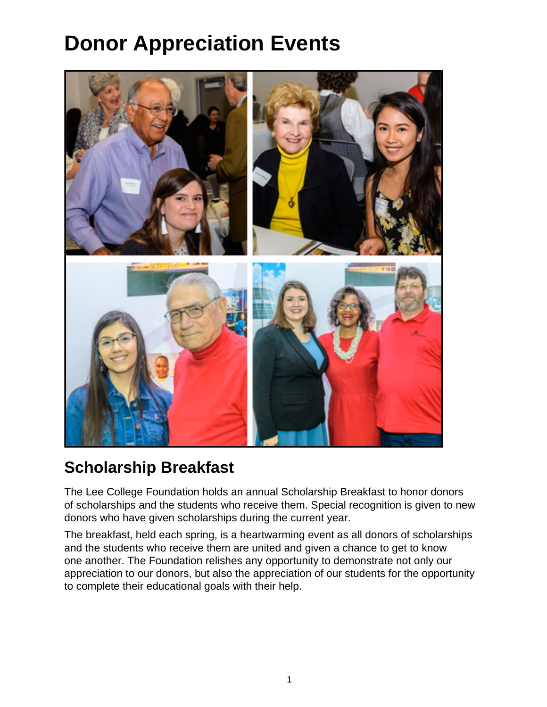## **Donor Appreciation Events**



## **Scholarship Breakfast**

The Lee College Foundation holds an annual Scholarship Breakfast to honor donors of scholarships and the students who receive them. Special recognition is given to new donors who have given scholarships during the current year.

The breakfast, held each spring, is a heartwarming event as all donors of scholarships and the students who receive them are united and given a chance to get to know one another. The Foundation relishes any opportunity to demonstrate not only our appreciation to our donors, but also the appreciation of our students for the opportunity to complete their educational goals with their help.